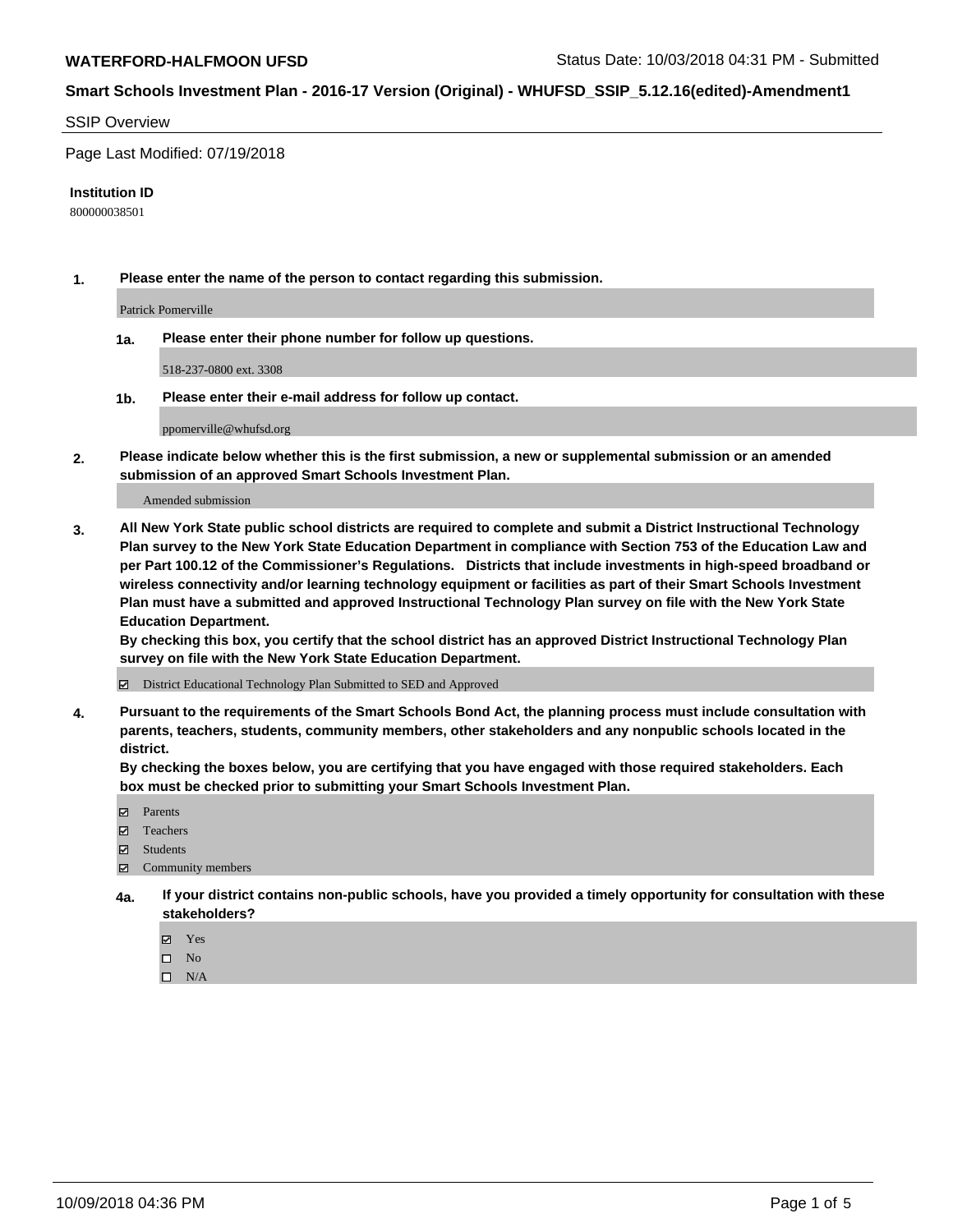### SSIP Overview

Page Last Modified: 07/19/2018

### **Institution ID**

800000038501

**1. Please enter the name of the person to contact regarding this submission.**

Patrick Pomerville

**1a. Please enter their phone number for follow up questions.**

518-237-0800 ext. 3308

**1b. Please enter their e-mail address for follow up contact.**

ppomerville@whufsd.org

**2. Please indicate below whether this is the first submission, a new or supplemental submission or an amended submission of an approved Smart Schools Investment Plan.**

Amended submission

**3. All New York State public school districts are required to complete and submit a District Instructional Technology Plan survey to the New York State Education Department in compliance with Section 753 of the Education Law and per Part 100.12 of the Commissioner's Regulations. Districts that include investments in high-speed broadband or wireless connectivity and/or learning technology equipment or facilities as part of their Smart Schools Investment Plan must have a submitted and approved Instructional Technology Plan survey on file with the New York State Education Department.** 

**By checking this box, you certify that the school district has an approved District Instructional Technology Plan survey on file with the New York State Education Department.**

District Educational Technology Plan Submitted to SED and Approved

**4. Pursuant to the requirements of the Smart Schools Bond Act, the planning process must include consultation with parents, teachers, students, community members, other stakeholders and any nonpublic schools located in the district.** 

**By checking the boxes below, you are certifying that you have engaged with those required stakeholders. Each box must be checked prior to submitting your Smart Schools Investment Plan.**

- **□** Parents
- Teachers
- Students
- $\boxtimes$  Community members
- **4a. If your district contains non-public schools, have you provided a timely opportunity for consultation with these stakeholders?**
	- Yes
	- $\qquad \qquad$  No
	- $\square$  N/A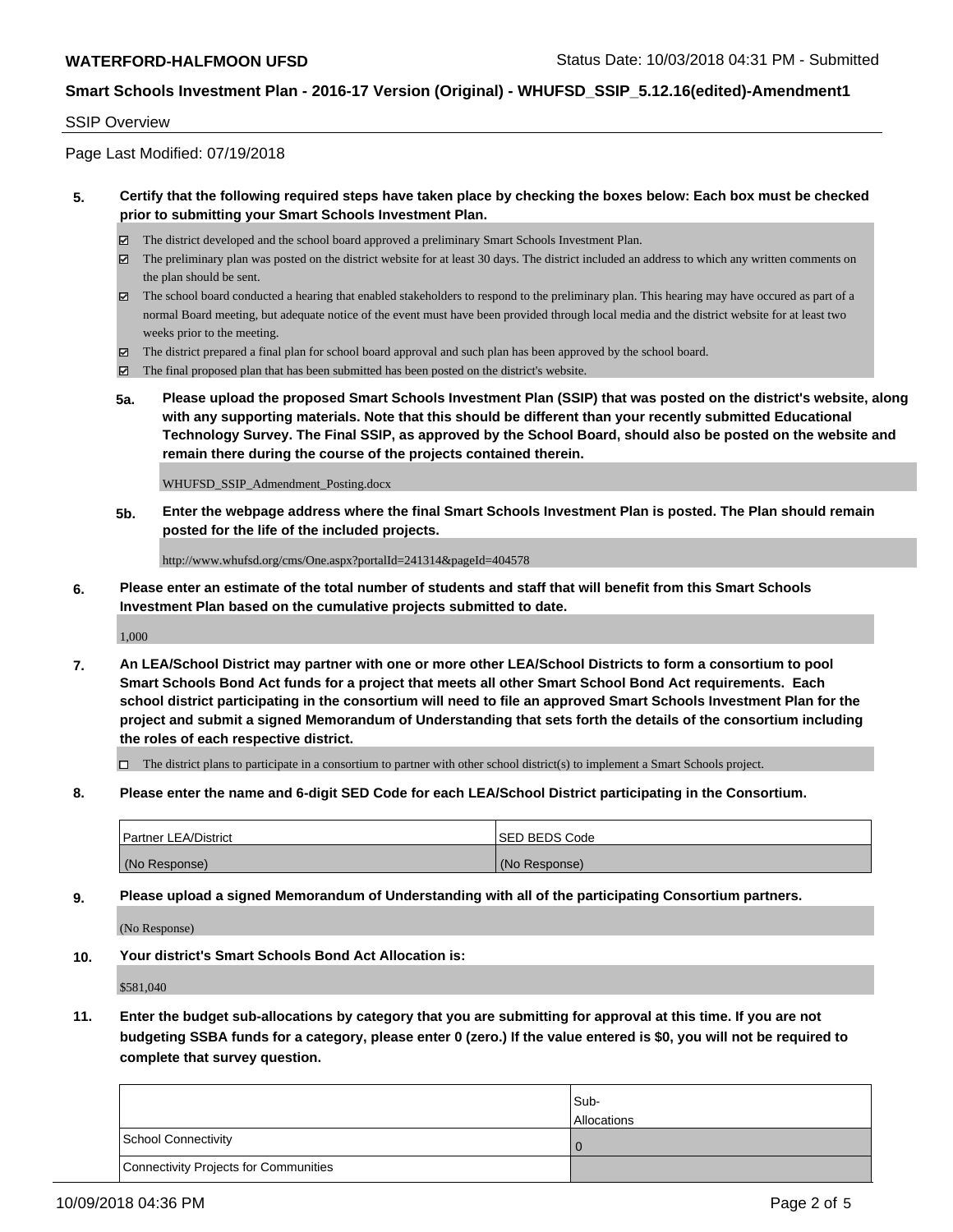### SSIP Overview

Page Last Modified: 07/19/2018

### **5. Certify that the following required steps have taken place by checking the boxes below: Each box must be checked prior to submitting your Smart Schools Investment Plan.**

- The district developed and the school board approved a preliminary Smart Schools Investment Plan.
- $\boxtimes$  The preliminary plan was posted on the district website for at least 30 days. The district included an address to which any written comments on the plan should be sent.
- $\boxtimes$  The school board conducted a hearing that enabled stakeholders to respond to the preliminary plan. This hearing may have occured as part of a normal Board meeting, but adequate notice of the event must have been provided through local media and the district website for at least two weeks prior to the meeting.
- The district prepared a final plan for school board approval and such plan has been approved by the school board.
- $\boxtimes$  The final proposed plan that has been submitted has been posted on the district's website.
- **5a. Please upload the proposed Smart Schools Investment Plan (SSIP) that was posted on the district's website, along with any supporting materials. Note that this should be different than your recently submitted Educational Technology Survey. The Final SSIP, as approved by the School Board, should also be posted on the website and remain there during the course of the projects contained therein.**

WHUFSD\_SSIP\_Admendment\_Posting.docx

**5b. Enter the webpage address where the final Smart Schools Investment Plan is posted. The Plan should remain posted for the life of the included projects.**

http://www.whufsd.org/cms/One.aspx?portalId=241314&pageId=404578

**6. Please enter an estimate of the total number of students and staff that will benefit from this Smart Schools Investment Plan based on the cumulative projects submitted to date.**

1,000

**7. An LEA/School District may partner with one or more other LEA/School Districts to form a consortium to pool Smart Schools Bond Act funds for a project that meets all other Smart School Bond Act requirements. Each school district participating in the consortium will need to file an approved Smart Schools Investment Plan for the project and submit a signed Memorandum of Understanding that sets forth the details of the consortium including the roles of each respective district.**

 $\Box$  The district plans to participate in a consortium to partner with other school district(s) to implement a Smart Schools project.

**8. Please enter the name and 6-digit SED Code for each LEA/School District participating in the Consortium.**

| <b>Partner LEA/District</b> | <b>ISED BEDS Code</b> |
|-----------------------------|-----------------------|
| (No Response)               | (No Response)         |

**9. Please upload a signed Memorandum of Understanding with all of the participating Consortium partners.**

(No Response)

**10. Your district's Smart Schools Bond Act Allocation is:**

\$581,040

**11. Enter the budget sub-allocations by category that you are submitting for approval at this time. If you are not budgeting SSBA funds for a category, please enter 0 (zero.) If the value entered is \$0, you will not be required to complete that survey question.**

|                                              | Sub-<br><b>Allocations</b> |
|----------------------------------------------|----------------------------|
| <b>School Connectivity</b>                   |                            |
| <b>Connectivity Projects for Communities</b> |                            |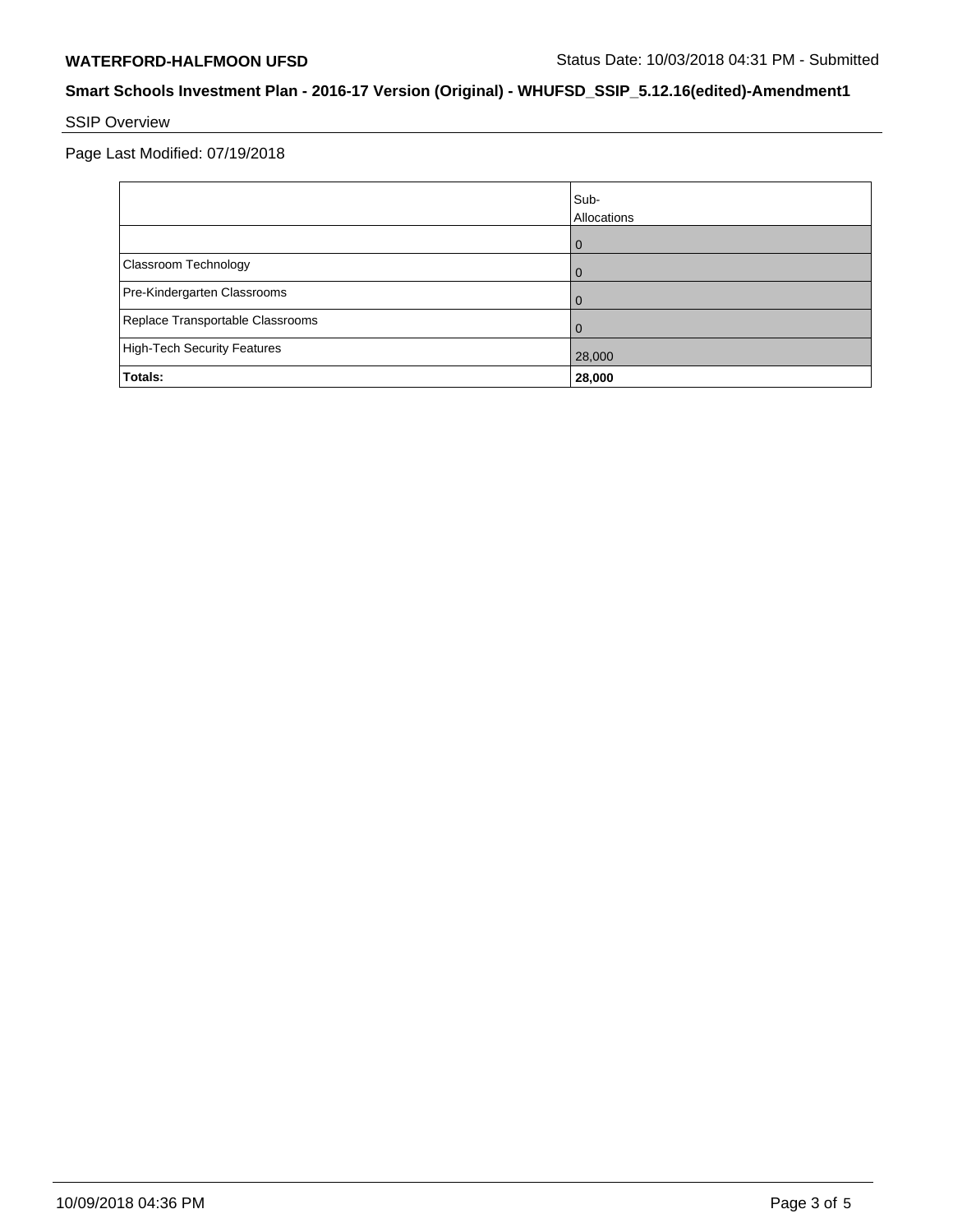# SSIP Overview

Page Last Modified: 07/19/2018

|                                    | Sub-<br>Allocations |
|------------------------------------|---------------------|
|                                    | O                   |
| Classroom Technology               | Û                   |
| Pre-Kindergarten Classrooms        |                     |
| Replace Transportable Classrooms   |                     |
| <b>High-Tech Security Features</b> | 28,000              |
| Totals:                            | 28,000              |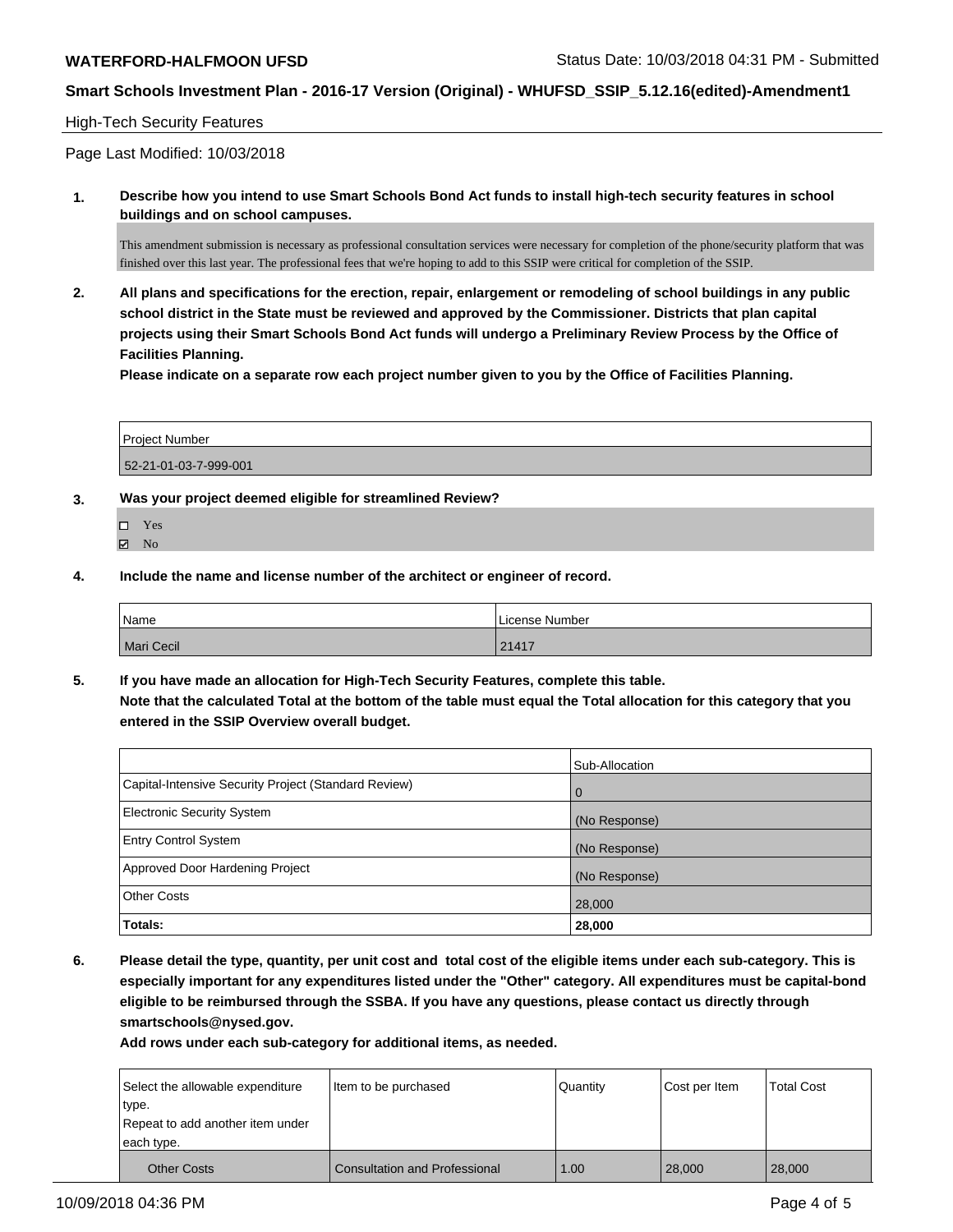### High-Tech Security Features

Page Last Modified: 10/03/2018

**1. Describe how you intend to use Smart Schools Bond Act funds to install high-tech security features in school buildings and on school campuses.**

This amendment submission is necessary as professional consultation services were necessary for completion of the phone/security platform that was finished over this last year. The professional fees that we're hoping to add to this SSIP were critical for completion of the SSIP.

**2. All plans and specifications for the erection, repair, enlargement or remodeling of school buildings in any public school district in the State must be reviewed and approved by the Commissioner. Districts that plan capital projects using their Smart Schools Bond Act funds will undergo a Preliminary Review Process by the Office of Facilities Planning.** 

**Please indicate on a separate row each project number given to you by the Office of Facilities Planning.**

| Project Number        |  |
|-----------------------|--|
| 52-21-01-03-7-999-001 |  |

- **3. Was your project deemed eligible for streamlined Review?**
	- Yes
	- **Z** No
- **4. Include the name and license number of the architect or engineer of record.**

| Name              | License Number |
|-------------------|----------------|
| <b>Mari Cecil</b> | 21417          |

**5. If you have made an allocation for High-Tech Security Features, complete this table. Note that the calculated Total at the bottom of the table must equal the Total allocation for this category that you entered in the SSIP Overview overall budget.**

|                                                      | Sub-Allocation |
|------------------------------------------------------|----------------|
| Capital-Intensive Security Project (Standard Review) | $\overline{0}$ |
| Electronic Security System                           | (No Response)  |
| <b>Entry Control System</b>                          | (No Response)  |
| Approved Door Hardening Project                      | (No Response)  |
| <b>Other Costs</b>                                   | 28,000         |
| Totals:                                              | 28,000         |

**6. Please detail the type, quantity, per unit cost and total cost of the eligible items under each sub-category. This is especially important for any expenditures listed under the "Other" category. All expenditures must be capital-bond eligible to be reimbursed through the SSBA. If you have any questions, please contact us directly through smartschools@nysed.gov.**

**Add rows under each sub-category for additional items, as needed.**

| each type.<br><b>Other Costs</b> | <b>Consultation and Professional</b> | 1.00     | 28,000        | 28,000            |
|----------------------------------|--------------------------------------|----------|---------------|-------------------|
| Repeat to add another item under |                                      |          |               |                   |
| type.                            |                                      |          |               |                   |
| Select the allowable expenditure | Item to be purchased                 | Quantity | Cost per Item | <b>Total Cost</b> |